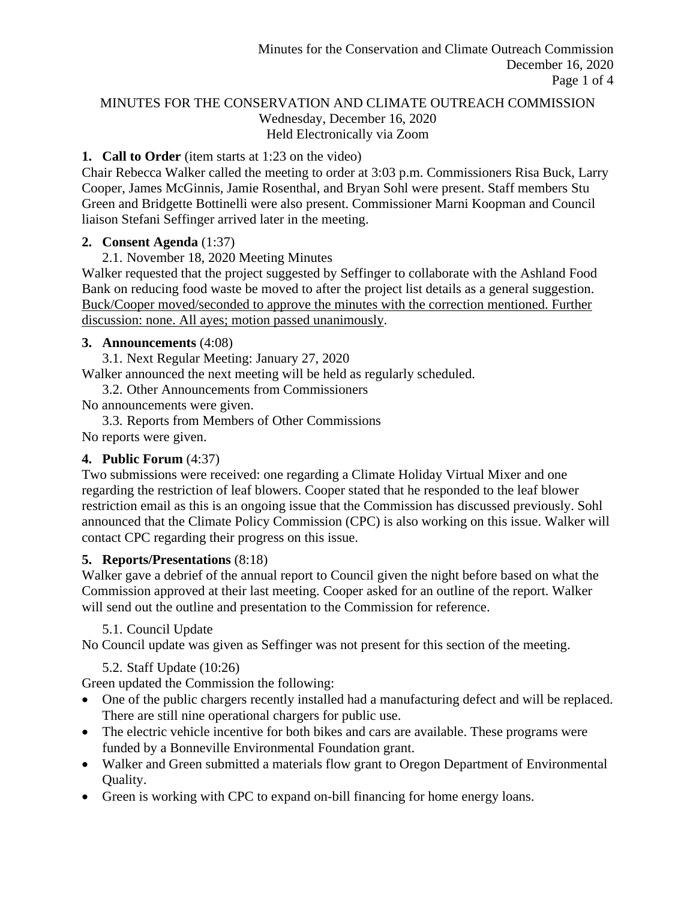### MINUTES FOR THE CONSERVATION AND CLIMATE OUTREACH COMMISSION Wednesday, December 16, 2020 Held Electronically via Zoom

### **1. Call to Order** (item starts at 1:23 on the video)

Chair Rebecca Walker called the meeting to order at 3:03 p.m. Commissioners Risa Buck, Larry Cooper, James McGinnis, Jamie Rosenthal, and Bryan Sohl were present. Staff members Stu Green and Bridgette Bottinelli were also present. Commissioner Marni Koopman and Council liaison Stefani Seffinger arrived later in the meeting.

### **2. Consent Agenda** (1:37)

2.1. November 18, 2020 Meeting Minutes

Walker requested that the project suggested by Seffinger to collaborate with the Ashland Food Bank on reducing food waste be moved to after the project list details as a general suggestion. Buck/Cooper moved/seconded to approve the minutes with the correction mentioned. Further discussion: none. All ayes; motion passed unanimously.

## **3. Announcements** (4:08)

3.1. Next Regular Meeting: January 27, 2020

Walker announced the next meeting will be held as regularly scheduled.

3.2. Other Announcements from Commissioners

No announcements were given.

3.3. Reports from Members of Other Commissions No reports were given.

# **4. Public Forum** (4:37)

Two submissions were received: one regarding a Climate Holiday Virtual Mixer and one regarding the restriction of leaf blowers. Cooper stated that he responded to the leaf blower restriction email as this is an ongoing issue that the Commission has discussed previously. Sohl announced that the Climate Policy Commission (CPC) is also working on this issue. Walker will contact CPC regarding their progress on this issue.

# **5. Reports/Presentations** (8:18)

Walker gave a debrief of the annual report to Council given the night before based on what the Commission approved at their last meeting. Cooper asked for an outline of the report. Walker will send out the outline and presentation to the Commission for reference.

# 5.1. Council Update

No Council update was given as Seffinger was not present for this section of the meeting.

# 5.2. Staff Update (10:26)

Green updated the Commission the following:

- One of the public chargers recently installed had a manufacturing defect and will be replaced. There are still nine operational chargers for public use.
- The electric vehicle incentive for both bikes and cars are available. These programs were funded by a Bonneville Environmental Foundation grant.
- Walker and Green submitted a materials flow grant to Oregon Department of Environmental Quality.
- Green is working with CPC to expand on-bill financing for home energy loans.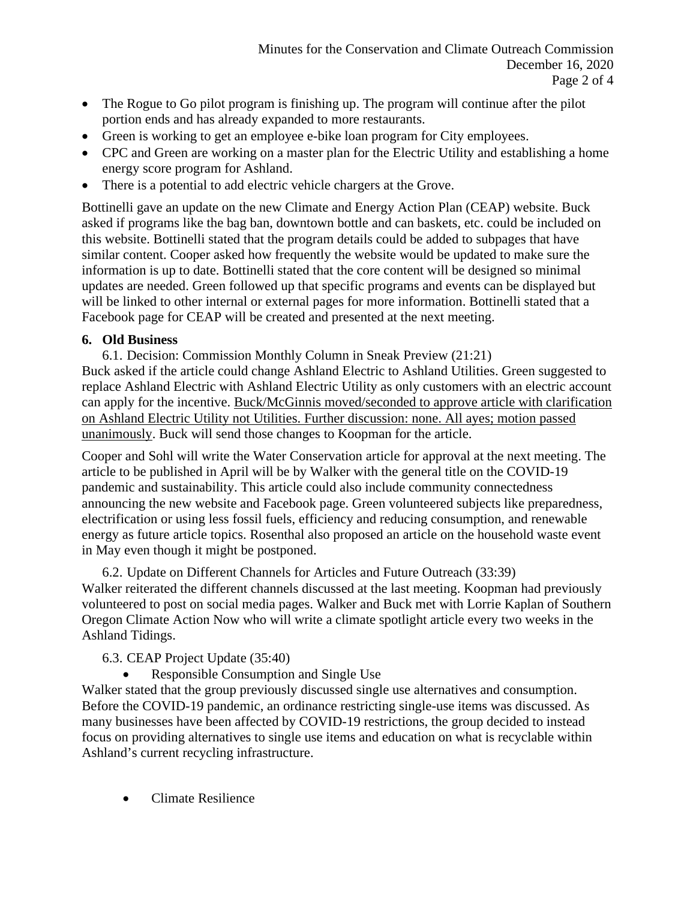- The Rogue to Go pilot program is finishing up. The program will continue after the pilot portion ends and has already expanded to more restaurants.
- Green is working to get an employee e-bike loan program for City employees.
- CPC and Green are working on a master plan for the Electric Utility and establishing a home energy score program for Ashland.
- There is a potential to add electric vehicle chargers at the Grove.

Bottinelli gave an update on the new Climate and Energy Action Plan (CEAP) website. Buck asked if programs like the bag ban, downtown bottle and can baskets, etc. could be included on this website. Bottinelli stated that the program details could be added to subpages that have similar content. Cooper asked how frequently the website would be updated to make sure the information is up to date. Bottinelli stated that the core content will be designed so minimal updates are needed. Green followed up that specific programs and events can be displayed but will be linked to other internal or external pages for more information. Bottinelli stated that a Facebook page for CEAP will be created and presented at the next meeting.

### **6. Old Business**

6.1. Decision: Commission Monthly Column in Sneak Preview (21:21) Buck asked if the article could change Ashland Electric to Ashland Utilities. Green suggested to replace Ashland Electric with Ashland Electric Utility as only customers with an electric account can apply for the incentive. Buck/McGinnis moved/seconded to approve article with clarification on Ashland Electric Utility not Utilities. Further discussion: none. All ayes; motion passed unanimously. Buck will send those changes to Koopman for the article.

Cooper and Sohl will write the Water Conservation article for approval at the next meeting. The article to be published in April will be by Walker with the general title on the COVID-19 pandemic and sustainability. This article could also include community connectedness announcing the new website and Facebook page. Green volunteered subjects like preparedness, electrification or using less fossil fuels, efficiency and reducing consumption, and renewable energy as future article topics. Rosenthal also proposed an article on the household waste event in May even though it might be postponed.

6.2. Update on Different Channels for Articles and Future Outreach (33:39) Walker reiterated the different channels discussed at the last meeting. Koopman had previously volunteered to post on social media pages. Walker and Buck met with Lorrie Kaplan of Southern Oregon Climate Action Now who will write a climate spotlight article every two weeks in the Ashland Tidings.

# 6.3. CEAP Project Update (35:40)

• Responsible Consumption and Single Use

Walker stated that the group previously discussed single use alternatives and consumption. Before the COVID-19 pandemic, an ordinance restricting single-use items was discussed. As many businesses have been affected by COVID-19 restrictions, the group decided to instead focus on providing alternatives to single use items and education on what is recyclable within Ashland's current recycling infrastructure.

• Climate Resilience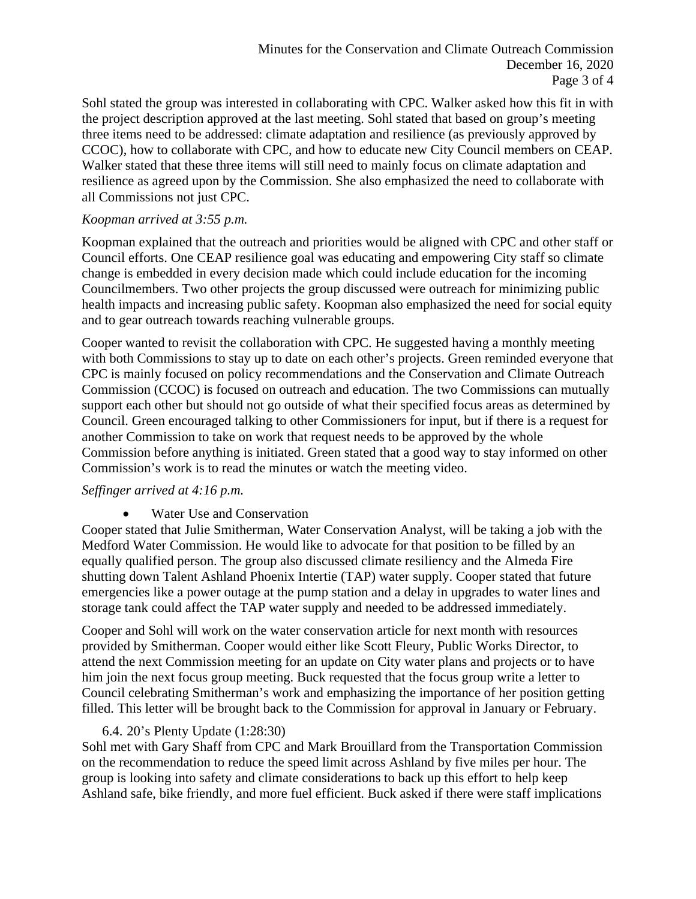Sohl stated the group was interested in collaborating with CPC. Walker asked how this fit in with the project description approved at the last meeting. Sohl stated that based on group's meeting three items need to be addressed: climate adaptation and resilience (as previously approved by CCOC), how to collaborate with CPC, and how to educate new City Council members on CEAP. Walker stated that these three items will still need to mainly focus on climate adaptation and resilience as agreed upon by the Commission. She also emphasized the need to collaborate with all Commissions not just CPC.

#### *Koopman arrived at 3:55 p.m.*

Koopman explained that the outreach and priorities would be aligned with CPC and other staff or Council efforts. One CEAP resilience goal was educating and empowering City staff so climate change is embedded in every decision made which could include education for the incoming Councilmembers. Two other projects the group discussed were outreach for minimizing public health impacts and increasing public safety. Koopman also emphasized the need for social equity and to gear outreach towards reaching vulnerable groups.

Cooper wanted to revisit the collaboration with CPC. He suggested having a monthly meeting with both Commissions to stay up to date on each other's projects. Green reminded everyone that CPC is mainly focused on policy recommendations and the Conservation and Climate Outreach Commission (CCOC) is focused on outreach and education. The two Commissions can mutually support each other but should not go outside of what their specified focus areas as determined by Council. Green encouraged talking to other Commissioners for input, but if there is a request for another Commission to take on work that request needs to be approved by the whole Commission before anything is initiated. Green stated that a good way to stay informed on other Commission's work is to read the minutes or watch the meeting video.

#### *Seffinger arrived at 4:16 p.m.*

• Water Use and Conservation

Cooper stated that Julie Smitherman, Water Conservation Analyst, will be taking a job with the Medford Water Commission. He would like to advocate for that position to be filled by an equally qualified person. The group also discussed climate resiliency and the Almeda Fire shutting down Talent Ashland Phoenix Intertie (TAP) water supply. Cooper stated that future emergencies like a power outage at the pump station and a delay in upgrades to water lines and storage tank could affect the TAP water supply and needed to be addressed immediately.

Cooper and Sohl will work on the water conservation article for next month with resources provided by Smitherman. Cooper would either like Scott Fleury, Public Works Director, to attend the next Commission meeting for an update on City water plans and projects or to have him join the next focus group meeting. Buck requested that the focus group write a letter to Council celebrating Smitherman's work and emphasizing the importance of her position getting filled. This letter will be brought back to the Commission for approval in January or February.

### 6.4. 20's Plenty Update (1:28:30)

Sohl met with Gary Shaff from CPC and Mark Brouillard from the Transportation Commission on the recommendation to reduce the speed limit across Ashland by five miles per hour. The group is looking into safety and climate considerations to back up this effort to help keep Ashland safe, bike friendly, and more fuel efficient. Buck asked if there were staff implications